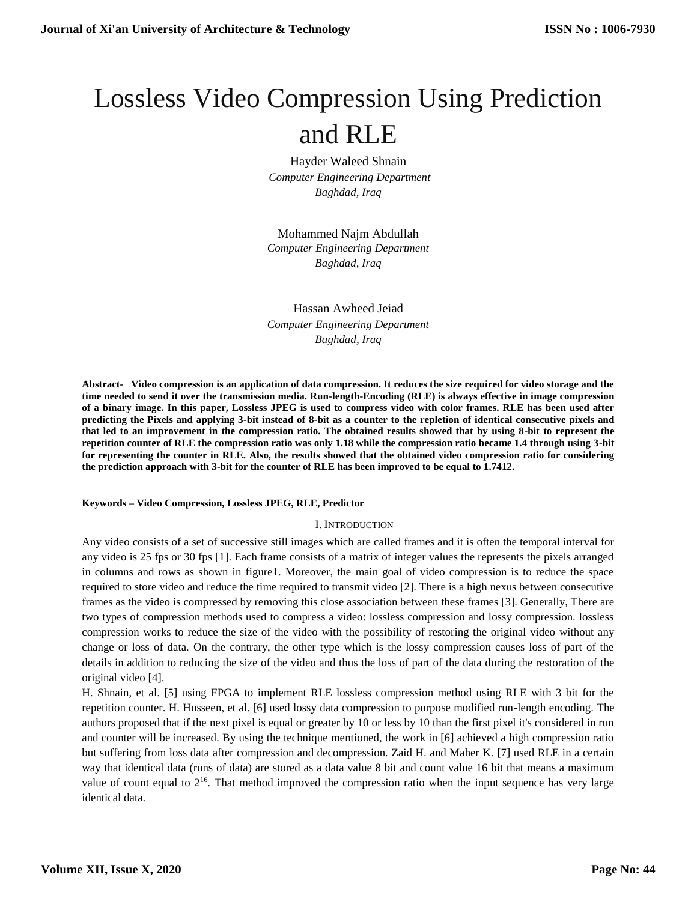# Lossless Video Compression Using Prediction and RLE

Hayder Waleed Shnain *Computer Engineering Department Baghdad, Iraq*

Mohammed Najm Abdullah *Computer Engineering Department Baghdad, Iraq*

Hassan Awheed Jeiad *Computer Engineering Department Baghdad, Iraq*

**Abstract- Video compression is an application of data compression. It reduces the size required for video storage and the time needed to send it over the transmission media. Run-length-Encoding (RLE) is always effective in image compression of a binary image. In this paper, Lossless JPEG is used to compress video with color frames. RLE has been used after predicting the Pixels and applying 3-bit instead of 8-bit as a counter to the repletion of identical consecutive pixels and that led to an improvement in the compression ratio. The obtained results showed that by using 8-bit to represent the repetition counter of RLE the compression ratio was only 1.18 while the compression ratio became 1.4 through using 3-bit for representing the counter in RLE. Also, the results showed that the obtained video compression ratio for considering the prediction approach with 3-bit for the counter of RLE has been improved to be equal to 1.7412.**

#### **Keywords – Video Compression, Lossless JPEG, RLE, Predictor**

#### I. INTRODUCTION

Any video consists of a set of successive still images which are called frames and it is often the temporal interval for any video is 25 fps or 30 fps [1]. Each frame consists of a matrix of integer values the represents the pixels arranged in columns and rows as shown in figure1. Moreover, the main goal of video compression is to reduce the space required to store video and reduce the time required to transmit video [2]. There is a high nexus between consecutive frames as the video is compressed by removing this close association between these frames [3]. Generally, There are two types of compression methods used to compress a video: lossless compression and lossy compression. lossless compression works to reduce the size of the video with the possibility of restoring the original video without any change or loss of data. On the contrary, the other type which is the lossy compression causes loss of part of the details in addition to reducing the size of the video and thus the loss of part of the data during the restoration of the original video [4].

H. Shnain, et al. [5] using FPGA to implement RLE lossless compression method using RLE with 3 bit for the repetition counter. H. Husseen, et al. [6] used lossy data compression to purpose modified run-length encoding. The authors proposed that if the next pixel is equal or greater by 10 or less by 10 than the first pixel it's considered in run and counter will be increased. By using the technique mentioned, the work in [6] achieved a high compression ratio but suffering from loss data after compression and decompression. Zaid H. and Maher K. [7] used RLE in a certain way that identical data (runs of data) are stored as a data value 8 bit and count value 16 bit that means a maximum value of count equal to  $2^{16}$ . That method improved the compression ratio when the input sequence has very large identical data.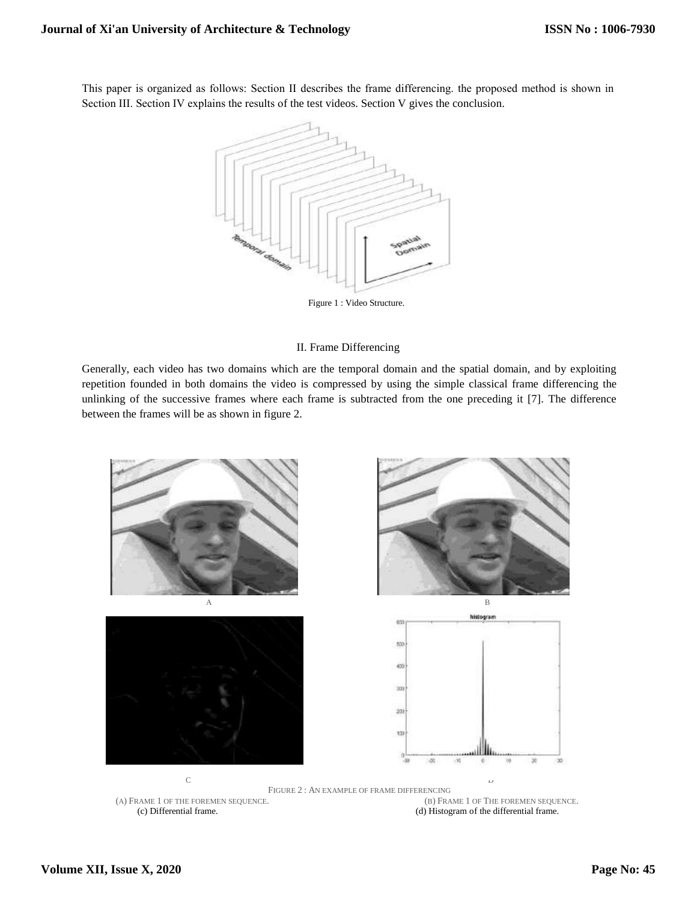This paper is organized as follows: Section ІІ describes the frame differencing. the proposed method is shown in Section III. Section IV explains the results of the test videos. Section V gives the conclusion.



Figure 1 : Video Structure.

# II. Frame Differencing

Generally, each video has two domains which are the temporal domain and the spatial domain, and by exploiting repetition founded in both domains the video is compressed by using the simple classical frame differencing the unlinking of the successive frames where each frame is subtracted from the one preceding it [7]. The difference between the frames will be as shown in figure 2.

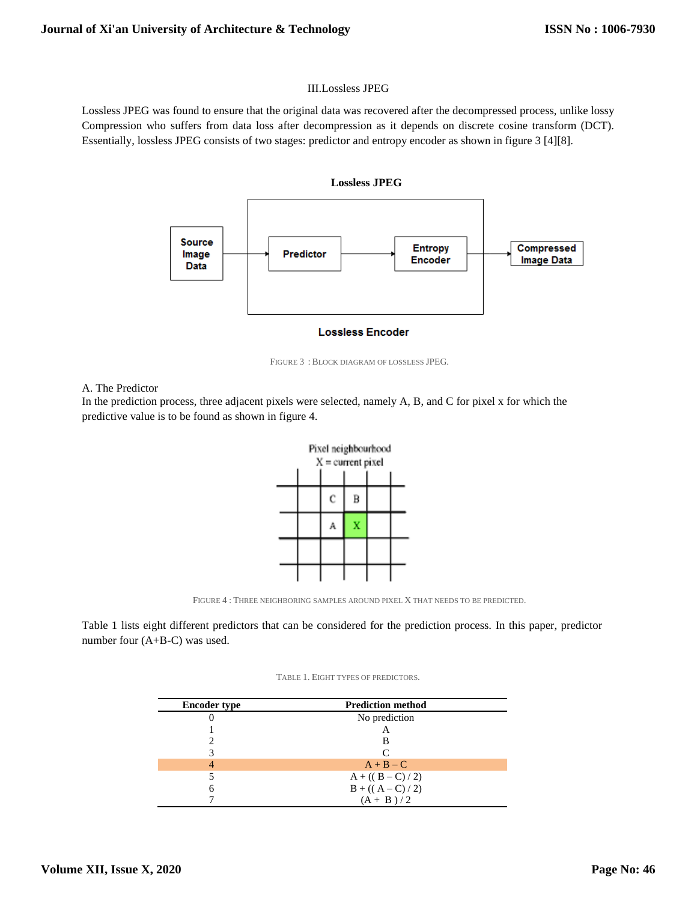# III.Lossless JPEG

Lossless JPEG was found to ensure that the original data was recovered after the decompressed process, unlike lossy Compression who suffers from data loss after decompression as it depends on discrete cosine transform (DCT). Essentially, lossless JPEG consists of two stages: predictor and entropy encoder as shown in figure 3 [4][8].





FIGURE 3 : BLOCK DIAGRAM OF LOSSLESS JPEG.

## A. The Predictor

In the prediction process, three adjacent pixels were selected, namely A, B, and C for pixel x for which the predictive value is to be found as shown in figure 4.



FIGURE 4 : THREE NEIGHBORING SAMPLES AROUND PIXEL X THAT NEEDS TO BE PREDICTED.

Table 1 lists eight different predictors that can be considered for the prediction process. In this paper, predictor number four (A+B-C) was used.

#### TABLE 1. EIGHT TYPES OF PREDICTORS.

| <b>Encoder type</b> | <b>Prediction method</b> |
|---------------------|--------------------------|
|                     | No prediction            |
|                     | А                        |
|                     | в                        |
|                     | $\Gamma$                 |
|                     | $A + B - C$              |
|                     | $A + ((B - C) / 2)$      |
|                     | $B + ((A - C) / 2)$      |
|                     | $(A + B)/2$              |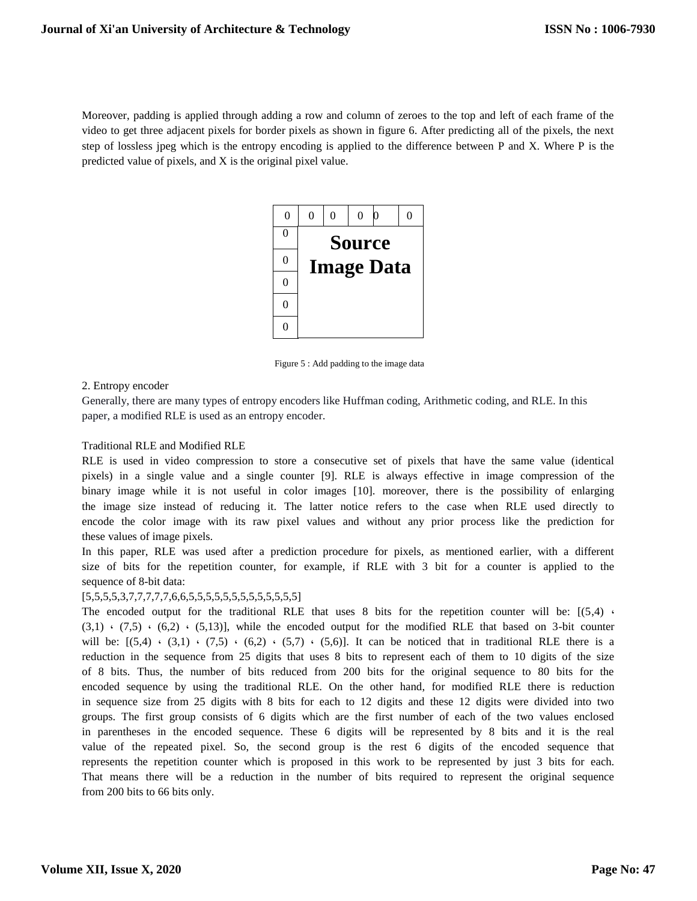Moreover, padding is applied through adding a row and column of zeroes to the top and left of each frame of the video to get three adjacent pixels for border pixels as shown in figure 6. After predicting all of the pixels, the next step of lossless jpeg which is the entropy encoding is applied to the difference between P and X. Where P is the predicted value of pixels, and X is the original pixel value.



Figure 5 : Add padding to the image data

#### 2. Entropy encoder

Generally, there are many types of entropy encoders like Huffman coding, Arithmetic coding, and RLE. In this paper, a modified RLE is used as an entropy encoder.

## Traditional RLE and Modified RLE

RLE is used in video compression to store a consecutive set of pixels that have the same value (identical pixels) in a single value and a single counter [9]. RLE is always effective in image compression of the binary image while it is not useful in color images [10]. moreover, there is the possibility of enlarging the image size instead of reducing it. The latter notice refers to the case when RLE used directly to encode the color image with its raw pixel values and without any prior process like the prediction for these values of image pixels.

In this paper, RLE was used after a prediction procedure for pixels, as mentioned earlier, with a different size of bits for the repetition counter, for example, if RLE with 3 bit for a counter is applied to the sequence of 8-bit data:

#### [5,5,5,5,3,7,7,7,7,7,6,6,5,5,5,5,5,5,5,5,5,5,5,5,5]

The encoded output for the traditional RLE that uses 8 bits for the repetition counter will be:  $[(5,4)$  $(3,1)$   $\cdot$   $(7,5)$   $\cdot$   $(6,2)$   $\cdot$   $(5,13)$ , while the encoded output for the modified RLE that based on 3-bit counter will be:  $[(5,4) \cdot (3,1) \cdot (7,5) \cdot (6,2) \cdot (5,7) \cdot (5,6)]$ . It can be noticed that in traditional RLE there is a reduction in the sequence from 25 digits that uses 8 bits to represent each of them to 10 digits of the size of 8 bits. Thus, the number of bits reduced from 200 bits for the original sequence to 80 bits for the encoded sequence by using the traditional RLE. On the other hand, for modified RLE there is reduction in sequence size from 25 digits with 8 bits for each to 12 digits and these 12 digits were divided into two groups. The first group consists of 6 digits which are the first number of each of the two values enclosed in parentheses in the encoded sequence. These 6 digits will be represented by 8 bits and it is the real value of the repeated pixel. So, the second group is the rest 6 digits of the encoded sequence that represents the repetition counter which is proposed in this work to be represented by just 3 bits for each. That means there will be a reduction in the number of bits required to represent the original sequence from 200 bits to 66 bits only.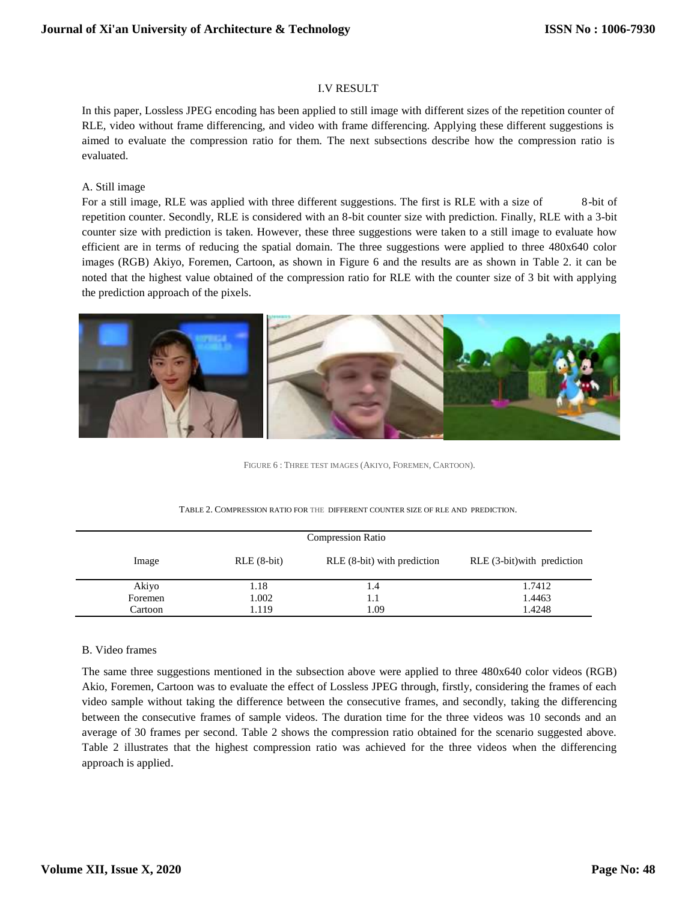## I.V RESULT

In this paper, Lossless JPEG encoding has been applied to still image with different sizes of the repetition counter of RLE, video without frame differencing, and video with frame differencing. Applying these different suggestions is aimed to evaluate the compression ratio for them. The next subsections describe how the compression ratio is evaluated.

## A. Still image

For a still image, RLE was applied with three different suggestions. The first is RLE with a size of 8-bit of repetition counter. Secondly, RLE is considered with an 8-bit counter size with prediction. Finally, RLE with a 3-bit counter size with prediction is taken. However, these three suggestions were taken to a still image to evaluate how efficient are in terms of reducing the spatial domain. The three suggestions were applied to three 480x640 color images (RGB) Akiyo, Foremen, Cartoon, as shown in Figure 6 and the results are as shown in Table 2. it can be noted that the highest value obtained of the compression ratio for RLE with the counter size of 3 bit with applying the prediction approach of the pixels.



FIGURE 6 : THREE TEST IMAGES (AKIYO, FOREMEN, CARTOON).

|  | TABLE 2. COMPRESSION RATIO FOR THE DIFFERENT COUNTER SIZE OF RLE AND PREDICTION. |
|--|----------------------------------------------------------------------------------|
|--|----------------------------------------------------------------------------------|

| <b>Compression Ratio</b> |              |                             |                               |  |  |
|--------------------------|--------------|-----------------------------|-------------------------------|--|--|
| Image                    | $RLE(8-bit)$ | RLE (8-bit) with prediction | $RLE$ (3-bit) with prediction |  |  |
| Akiyo                    | 1.18         | 1.4                         | 1.7412                        |  |  |
| Foremen                  | 1.002        |                             | 1.4463                        |  |  |
| Cartoon                  | 1.119        | 1.09                        | 1.4248                        |  |  |

# B. Video frames

The same three suggestions mentioned in the subsection above were applied to three 480x640 color videos (RGB) Akio, Foremen, Cartoon was to evaluate the effect of Lossless JPEG through, firstly, considering the frames of each video sample without taking the difference between the consecutive frames, and secondly, taking the differencing between the consecutive frames of sample videos. The duration time for the three videos was 10 seconds and an average of 30 frames per second. Table 2 shows the compression ratio obtained for the scenario suggested above. Table 2 illustrates that the highest compression ratio was achieved for the three videos when the differencing approach is applied.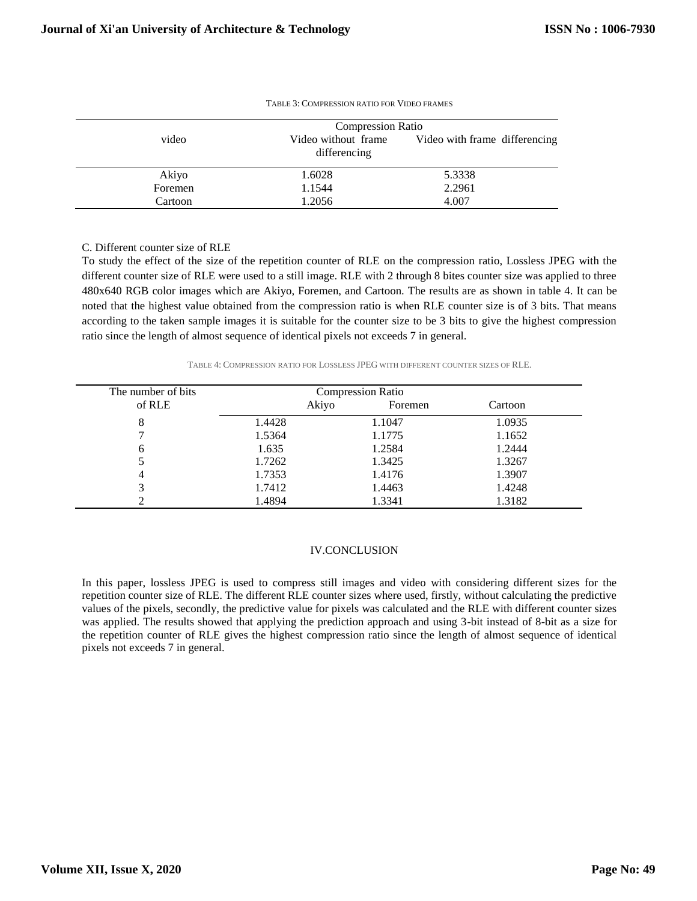|         | <b>Compression Ratio</b>            |                               |  |  |  |
|---------|-------------------------------------|-------------------------------|--|--|--|
| video   | Video without frame<br>differencing | Video with frame differencing |  |  |  |
| Akiyo   | 1.6028                              | 5.3338                        |  |  |  |
| Foremen | 1.1544                              | 2.2961                        |  |  |  |
| Cartoon | 1.2056                              | 4.007                         |  |  |  |

| TABLE 3: COMPRESSION RATIO FOR VIDEO FRAMES |
|---------------------------------------------|
|---------------------------------------------|

#### C. Different counter size of RLE

To study the effect of the size of the repetition counter of RLE on the compression ratio, Lossless JPEG with the different counter size of RLE were used to a still image. RLE with 2 through 8 bites counter size was applied to three 480x640 RGB color images which are Akiyo, Foremen, and Cartoon. The results are as shown in table 4. It can be noted that the highest value obtained from the compression ratio is when RLE counter size is of 3 bits. That means according to the taken sample images it is suitable for the counter size to be 3 bits to give the highest compression ratio since the length of almost sequence of identical pixels not exceeds 7 in general.

TABLE 4: COMPRESSION RATIO FOR LOSSLESS JPEG WITH DIFFERENT COUNTER SIZES OF RLE.

| The number of bits | <b>Compression Ratio</b> |       |         |         |
|--------------------|--------------------------|-------|---------|---------|
| of RLE             |                          | Akiyo | Foremen | Cartoon |
| 8                  | 1.4428                   |       | 1.1047  | 1.0935  |
|                    | 1.5364                   |       | 1.1775  | 1.1652  |
| 6                  | 1.635                    |       | 1.2584  | 1.2444  |
|                    | 1.7262                   |       | 1.3425  | 1.3267  |
| 4                  | 1.7353                   |       | 1.4176  | 1.3907  |
|                    | 1.7412                   |       | 1.4463  | 1.4248  |
|                    | 1.4894                   |       | 1.3341  | 1.3182  |

# IV.CONCLUSION

In this paper, lossless JPEG is used to compress still images and video with considering different sizes for the repetition counter size of RLE. The different RLE counter sizes where used, firstly, without calculating the predictive values of the pixels, secondly, the predictive value for pixels was calculated and the RLE with different counter sizes was applied. The results showed that applying the prediction approach and using 3-bit instead of 8-bit as a size for the repetition counter of RLE gives the highest compression ratio since the length of almost sequence of identical pixels not exceeds 7 in general.